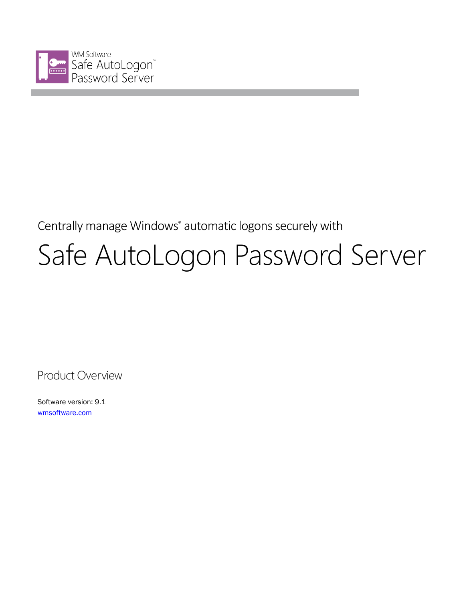

# Centrally manage Windows<sup>®</sup> automatic logons securely with Safe AutoLogon Password Server

Product Overview

Software version: 9.1 wmsoftware.com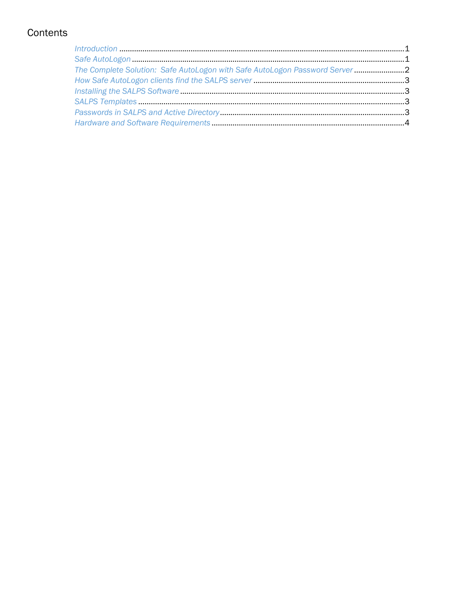## Contents

| Introduction 1                                                            |  |
|---------------------------------------------------------------------------|--|
|                                                                           |  |
| The Complete Solution: Safe AutoLogon with Safe AutoLogon Password Server |  |
|                                                                           |  |
|                                                                           |  |
|                                                                           |  |
|                                                                           |  |
|                                                                           |  |
|                                                                           |  |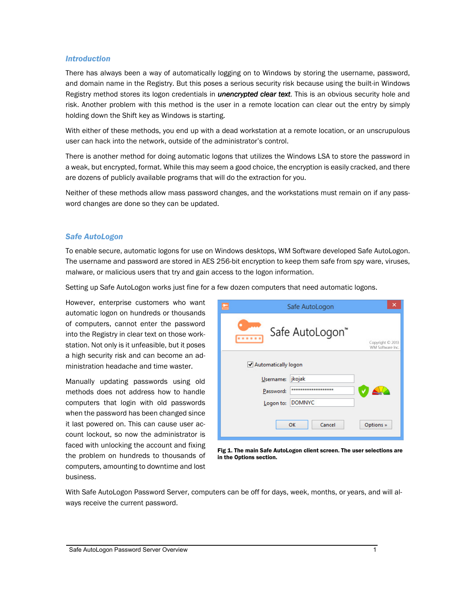#### *Introduction*

There has always been a way of automatically logging on to Windows by storing the username, password, and domain name in the Registry. But this poses a serious security risk because using the built-in Windows Registry method stores its logon credentials in **unencrypted clear text**. This is an obvious security hole and risk. Another problem with this method is the user in a remote location can clear out the entry by simply holding down the Shift key as Windows is starting.

With either of these methods, you end up with a dead workstation at a remote location, or an unscrupulous user can hack into the network, outside of the administrator's control.

There is another method for doing automatic logons that utilizes the Windows LSA to store the password in a weak, but encrypted, format. While this may seem a good choice, the encryption is easily cracked, and there are dozens of publicly available programs that will do the extraction for you.

Neither of these methods allow mass password changes, and the workstations must remain on if any password changes are done so they can be updated.

#### *Safe AutoLogon*

To enable secure, automatic logons for use on Windows desktops, WM Software developed Safe AutoLogon. The username and password are stored in AES 256-bit encryption to keep them safe from spy ware, viruses, malware, or malicious users that try and gain access to the logon information.

Setting up Safe AutoLogon works just fine for a few dozen computers that need automatic logons.

However, enterprise customers who want automatic logon on hundreds or thousands of computers, cannot enter the password into the Registry in clear text on those workstation. Not only is it unfeasible, but it poses a high security risk and can become an administration headache and time waster.

Manually updating passwords using old methods does not address how to handle computers that login with old passwords when the password has been changed since it last powered on. This can cause user account lockout, so now the administrator is faced with unlocking the account and fixing the problem on hundreds to thousands of computers, amounting to downtime and lost business.

|                       | Safe AutoLogon      | ×                                    |
|-----------------------|---------------------|--------------------------------------|
|                       | Safe AutoLogon"     | Copyright © 2013<br>WM Software Inc. |
| ✔ Automatically logon |                     |                                      |
| Username:             | jkojak              |                                      |
| Password:             | ******************* |                                      |
| Logon to:             | <b>DOMNYC</b>       |                                      |
|                       | Cancel<br>OK        | Options »                            |

Fig 1. The main Safe AutoLogon client screen. The user selections are in the Options section.

With Safe AutoLogon Password Server, computers can be off for days, week, months, or years, and will always receive the current password.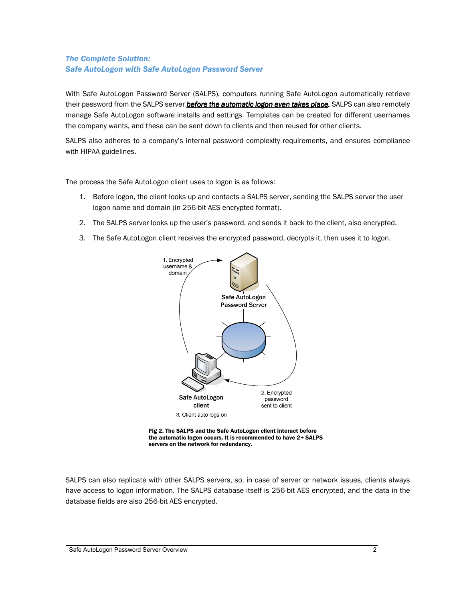### *The Complete Solution: Safe AutoLogon with Safe AutoLogon Password Server*

With Safe AutoLogon Password Server (SALPS), computers running Safe AutoLogon automatically retrieve their password from the SALPS server **before the automatic logon even takes place**. SALPS can also remotely manage Safe AutoLogon software installs and settings. Templates can be created for different usernames the company wants, and these can be sent down to clients and then reused for other clients.

SALPS also adheres to a company's internal password complexity requirements, and ensures compliance with HIPAA guidelines.

The process the Safe AutoLogon client uses to logon is as follows:

- 1. Before logon, the client looks up and contacts a SALPS server, sending the SALPS server the user logon name and domain (in 256-bit AES encrypted format).
- 2. The SALPS server looks up the user's password, and sends it back to the client, also encrypted.
- 3. The Safe AutoLogon client receives the encrypted password, decrypts it, then uses it to logon.





SALPS can also replicate with other SALPS servers, so, in case of server or network issues, clients always have access to logon information. The SALPS database itself is 256-bit AES encrypted, and the data in the database fields are also 256-bit AES encrypted.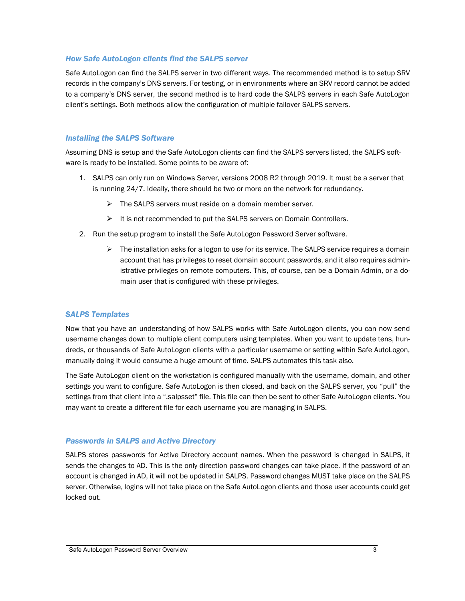#### *How Safe AutoLogon clients find the SALPS server*

Safe AutoLogon can find the SALPS server in two different ways. The recommended method is to setup SRV records in the company's DNS servers. For testing, or in environments where an SRV record cannot be added to a company's DNS server, the second method is to hard code the SALPS servers in each Safe AutoLogon client's settings. Both methods allow the configuration of multiple failover SALPS servers.

#### *Installing the SALPS Software*

Assuming DNS is setup and the Safe AutoLogon clients can find the SALPS servers listed, the SALPS software is ready to be installed. Some points to be aware of:

- 1. SALPS can only run on Windows Server, versions 2008 R2 through 2019. It must be a server that is running 24/7. Ideally, there should be two or more on the network for redundancy.
	- $\triangleright$  The SALPS servers must reside on a domain member server.
	- $\triangleright$  It is not recommended to put the SALPS servers on Domain Controllers.
- 2. Run the setup program to install the Safe AutoLogon Password Server software.
	- $\triangleright$  The installation asks for a logon to use for its service. The SALPS service requires a domain account that has privileges to reset domain account passwords, and it also requires administrative privileges on remote computers. This, of course, can be a Domain Admin, or a domain user that is configured with these privileges.

#### *SALPS Templates*

Now that you have an understanding of how SALPS works with Safe AutoLogon clients, you can now send username changes down to multiple client computers using templates. When you want to update tens, hundreds, or thousands of Safe AutoLogon clients with a particular username or setting within Safe AutoLogon, manually doing it would consume a huge amount of time. SALPS automates this task also.

The Safe AutoLogon client on the workstation is configured manually with the username, domain, and other settings you want to configure. Safe AutoLogon is then closed, and back on the SALPS server, you "pull" the settings from that client into a ".salpsset" file. This file can then be sent to other Safe AutoLogon clients. You may want to create a different file for each username you are managing in SALPS.

#### *Passwords in SALPS and Active Directory*

SALPS stores passwords for Active Directory account names. When the password is changed in SALPS, it sends the changes to AD. This is the only direction password changes can take place. If the password of an account is changed in AD, it will not be updated in SALPS. Password changes MUST take place on the SALPS server. Otherwise, logins will not take place on the Safe AutoLogon clients and those user accounts could get locked out.